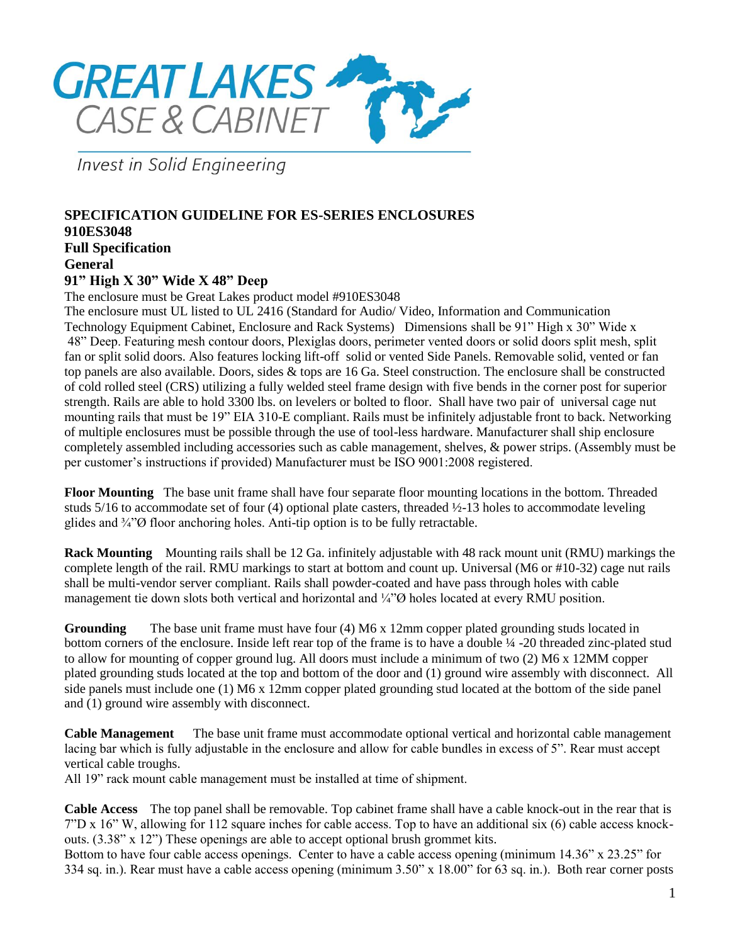

**Invest in Solid Engineering** 

## **SPECIFICATION GUIDELINE FOR ES-SERIES ENCLOSURES 910ES3048 Full Specification General 91" High X 30" Wide X 48" Deep**

The enclosure must be Great Lakes product model #910ES3048

The enclosure must UL listed to UL 2416 (Standard for Audio/ Video, Information and Communication Technology Equipment Cabinet, Enclosure and Rack Systems) Dimensions shall be 91" High x 30" Wide x 48" Deep. Featuring mesh contour doors, Plexiglas doors, perimeter vented doors or solid doors split mesh, split fan or split solid doors. Also features locking lift-off solid or vented Side Panels. Removable solid, vented or fan top panels are also available. Doors, sides & tops are 16 Ga. Steel construction. The enclosure shall be constructed of cold rolled steel (CRS) utilizing a fully welded steel frame design with five bends in the corner post for superior strength. Rails are able to hold 3300 lbs. on levelers or bolted to floor. Shall have two pair of universal cage nut mounting rails that must be 19" EIA 310-E compliant. Rails must be infinitely adjustable front to back. Networking of multiple enclosures must be possible through the use of tool-less hardware. Manufacturer shall ship enclosure completely assembled including accessories such as cable management, shelves, & power strips. (Assembly must be per customer's instructions if provided) Manufacturer must be ISO 9001:2008 registered.

**Floor Mounting** The base unit frame shall have four separate floor mounting locations in the bottom. Threaded studs 5/16 to accommodate set of four (4) optional plate casters, threaded ½-13 holes to accommodate leveling glides and  $\frac{3}{4}$   $\sigma$  floor anchoring holes. Anti-tip option is to be fully retractable.

**Rack Mounting** Mounting rails shall be 12 Ga. infinitely adjustable with 48 rack mount unit (RMU) markings the complete length of the rail. RMU markings to start at bottom and count up. Universal (M6 or #10-32) cage nut rails shall be multi-vendor server compliant. Rails shall powder-coated and have pass through holes with cable management tie down slots both vertical and horizontal and ¼"Ø holes located at every RMU position.

**Grounding** The base unit frame must have four (4) M6 x 12mm copper plated grounding studs located in bottom corners of the enclosure. Inside left rear top of the frame is to have a double ¼ -20 threaded zinc-plated stud to allow for mounting of copper ground lug. All doors must include a minimum of two (2) M6 x 12MM copper plated grounding studs located at the top and bottom of the door and (1) ground wire assembly with disconnect. All side panels must include one (1) M6 x 12mm copper plated grounding stud located at the bottom of the side panel and (1) ground wire assembly with disconnect.

**Cable Management** The base unit frame must accommodate optional vertical and horizontal cable management lacing bar which is fully adjustable in the enclosure and allow for cable bundles in excess of 5". Rear must accept vertical cable troughs.

All 19" rack mount cable management must be installed at time of shipment.

**Cable Access** The top panel shall be removable. Top cabinet frame shall have a cable knock-out in the rear that is 7"D x 16" W, allowing for 112 square inches for cable access. Top to have an additional six (6) cable access knockouts. (3.38" x 12") These openings are able to accept optional brush grommet kits.

Bottom to have four cable access openings. Center to have a cable access opening (minimum 14.36" x 23.25" for 334 sq. in.). Rear must have a cable access opening (minimum 3.50" x 18.00" for 63 sq. in.). Both rear corner posts